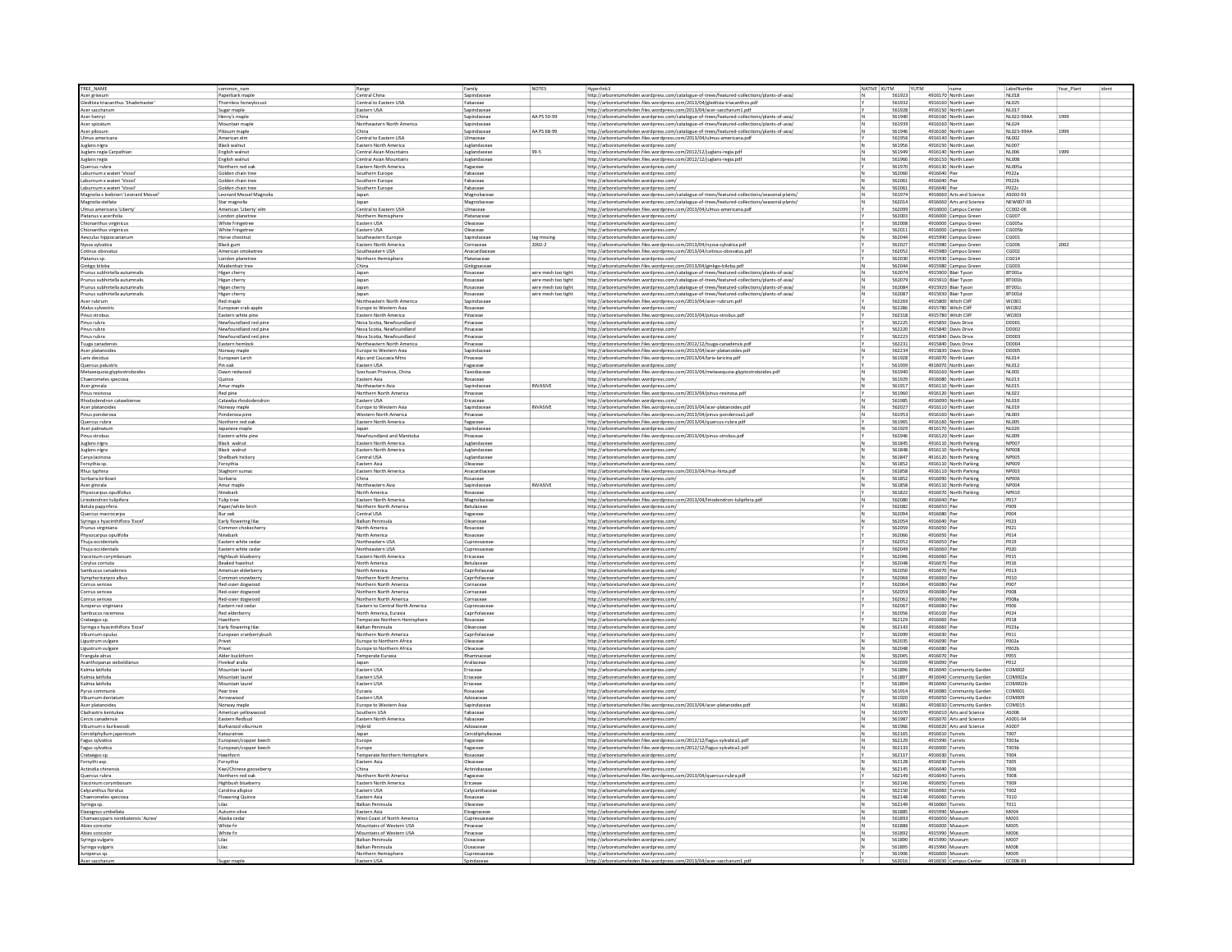| TREE NAME                                | common nam                 | Range                                           | Family                  | NOTES               | Hyperlink3                                                                                    | NATIVE XUTM |                  | YUTM                                       |                          | LabelN                | Year_Plant |  |
|------------------------------------------|----------------------------|-------------------------------------------------|-------------------------|---------------------|-----------------------------------------------------------------------------------------------|-------------|------------------|--------------------------------------------|--------------------------|-----------------------|------------|--|
| Acer griseum                             | Paperbark mapl             | Central China                                   | Sapindaceae             |                     | http://arboretumofeden.wordpress.com/catalogue-of-trees/featured-collections/plants-of-asia/  |             | 561923           | 4916170 North Law                          |                          | NL018                 |            |  |
| Gleditsia triacanthus 'Shademaster'      | Thornless honeylocus       | Central to Eastern USA                          | Fabaceae                |                     | http://arboretumofeden.files.wordpress.com/2013/04/gleditsia-triacanthos.pdf                  |             | 561932           | 4916160 North Lawn                         |                          | NL025                 |            |  |
| Acer saccharun                           | Sugar maple                | Eastern USA                                     | Sapindaceae             |                     | http://arboretumofeden.files.wordpress.com/2013/04/acer-saccharum1.pdf                        |             | 561928           | 4916150 North Lawn                         |                          | <b>NL017</b>          |            |  |
| Acer henryi                              | Henry's maple              | China                                           | Sapindaceae             | AA PS 50-99         | http://arboretumofeden.wordpress.com/catalogue-of-trees/featured-collections/plants-of-asia/  |             | 561940           | 4916160 North Lawn                         |                          | NL022-99AA            | 1999       |  |
| Acer spicatur                            | Mountain map               | Northeastern North America                      | Sapindaceae             |                     | http://arboretumofeden.wordpress.com/catalogue-of-trees/featured-collections/plants-of-asia/  |             | 561939           | 4916160 North Lawn                         |                          | N1024                 |            |  |
| Acer pilosum                             | Pilosum maple              | China                                           | Sapindaceae             | AA PS 68-99         | http://arboretumofeden.wordpress.com/catalogue-of-trees/featured-collections/plants-of-asia/  |             | 561946           | 4916160 North Lawn                         |                          | NL023-99AA            | 1999       |  |
| Ulmus americana                          | American elm               | Central to Eastern USA                          | Ulmaceae                |                     | http://arboretumofeden.files.wordpress.com/2013/04/ulmus-americana.pdf                        |             | 561956           | 4916140 North Lawn                         |                          | <b>NL002</b>          |            |  |
| Juglans nigra                            | Black walnut               | Eastern North America                           | Juglandaceae            |                     | http://arboretumofeden.wordpress.com/                                                         |             | 561956           | 4916150 North Lawn                         |                          | N1007                 |            |  |
| luglans regia Carpathian                 | English walnut             | Central Asian Mountains                         | Juglandaceae            | 99-5                | http://arboretumofeden.files.wordpress.com/2012/12/juglans-regia.pdf                          |             | 561949           | 4916140 North Lawn                         |                          | NL006                 | 1999       |  |
| Juglans regia                            | English walnut             | Central Asian Mountains                         | Juglandaceae            |                     | http://arboretumofeden.files.wordpress.com/2012/12/juglans-regia.pdf                          |             | 561966           | 4916150 North Lawn                         |                          | <b>NL008</b>          |            |  |
| Quercus rubra                            | Northern red oal           | Eastern North America                           | Fagaceae                |                     | http://arboretumofeden.wordpress.com/                                                         |             | 561970           | 4916130 North Lawn                         |                          | <b>NL005a</b>         |            |  |
| aburnum x wateri 'Vossii                 | Golden chain tree          | Southern Europe                                 | Fabaceae                |                     | http://arboretumofeden.wordpress.com                                                          |             | 562060           | 4916040 Pier                               |                          | P022a                 |            |  |
| Laburnum x wateri 'Vossii                | Golden chain tree          | Southern Europe                                 | Fabaceae                |                     | http://arboretumofeden.wordpress.com/                                                         |             | 562061           | 4916040 Pier                               |                          | P022b                 |            |  |
| Laburnum x wateri 'Vossii                | Golden chain tree          | Southern Europe                                 | Fabaceae                |                     | http://arboretumofeden.wordpress.com/                                                         |             | 562061           | 4916040 Pier                               |                          | P022c                 |            |  |
|                                          |                            |                                                 |                         |                     |                                                                                               |             | 561974           | 4916060 Arts and Science                   |                          | AS002-93              |            |  |
| Magnolia x loebneri 'Leonard Messel'     | Leonard Messel Magnolia    | Japan                                           | Magnoliaceae            |                     | http://arboretumofeden.wordpress.com/catalogue-of-trees/featured-collections/seasonal-plants/ |             | 562014           | 4916060 Arts and Science                   |                          | NFW007-93             |            |  |
| Magnolia stellata                        | Star magnolia              | Japan                                           | Magnoliaceae            |                     | http://arboretumofeden.wordpress.com/catalogue-of-trees/featured-collections/seasonal-plants/ |             |                  |                                            |                          |                       |            |  |
| Ulmus americana 'Liberty                 | American 'Liberty' elm     | Central to Eastern USA                          | Ulmaceae<br>Platanaceae |                     | http://arboretumofeden.files.wordpress.com/2013/04/ulmus-americana.pdf                        |             | 562099<br>562003 | 4916000 Campus Center                      |                          | CC002-06<br>CG007     |            |  |
| Platanus x acerifolia                    | London planetree           | Northern Hemisphere<br>Eastern USA              | Oleaceae                |                     | http://arboretumofeden.wordpress.com/                                                         |             | 562008           | 4916000 Campus Green                       |                          | connsa                |            |  |
| hionanthus virginicu                     | White fringetree           |                                                 |                         |                     | http://arboretumofeden.wordpress.com                                                          |             |                  | 4916000 Campus Green                       |                          |                       |            |  |
| Chionanthus virginicus                   | White fringetree           | Eastern USA                                     | Oleaceae                |                     | http://arboretumofeden.wordpress.com/                                                         |             | 562011           | 4916000 Campus Green                       |                          | CG005b                |            |  |
| Aesculus hippocastanun                   | Horse chestnut             | Southeastern Europe                             | Sapindaceae             | tag missing         | http://arboretumofeden.wordpress.com/                                                         |             | 562044           | 4915990 Campus Green                       |                          | CG001                 |            |  |
| Nyssa sylvatica                          | Black gum                  | Eastern North America                           | Cornaceae               | $2002 - 2$          | http://arboretumofeden.files.wordpress.com/2013/04/nyssa-sylvatica.pdf                        |             | 562027           | 4915980 Campus Green                       |                          | <b>CG006</b>          | 2002       |  |
| Cotinus obovatu                          | American smoketree         | Southeastern USA                                | Anacardiacea            |                     | http://arboretumofeden.files.wordpress.com/2013/04/cotinus-obovatus.pd                        |             | 562052           | 4915980 Campus Green                       |                          | 05002                 |            |  |
| Platanus sp.                             | London planetree           | Northern Hemisphere                             | Platanaceae             |                     | http://arboretumofeden.wordpress.com/                                                         |             | 562030           | 4915930 Campus Green                       |                          | CG014                 |            |  |
| Ginkgo biloba                            | Maidenhair tree            | China                                           | Ginkgoaceae             |                     | http://arboretumofeden.files.wordpress.com/2013/04/ginkgo-biloba.pdf                          |             | 562044           | 4915980 Campus Green                       |                          | CG003                 |            |  |
| runus subhirtella autumnali              | Higan cherry               | Japan                                           | Rosaceae                | wire mesh too tight | http://arboretumofeden.wordpress.com/catalogue-of-trees/featured-collections/plants-of-asia/  |             | 562074           | 4915900 Blair Tyson                        |                          | RT001a                |            |  |
| Prunus subhirtella autumnalis            | Higan cherry               | Japan                                           | Rosaceae                | wire mesh too tight | http://arboretumofeden.wordpress.com/catalogue-of-trees/featured-collections/plants-of-asia/  |             | 562079           | 4915910 Blair Tyson                        |                          | BT001b                |            |  |
| Prunus subhirtella autumnalis            | Higan cherry               | Japan                                           | Rosaceae                | wire mesh too tight | http://arboretumofeden.wordpress.com/catalogue-of-trees/featured-collections/plants-of-asia/  |             | 562084           | 4915920 Blair Tyson                        |                          | BT001c                |            |  |
| Prunus subhirtella autumnalis            | Higan cherry               |                                                 | Rosaceae                | wire mesh too tight | http://arboretumofeden.wordpress.com/catalogue-of-trees/featured-collections/plants-of-asia/  |             | 562087           | 4915930 Blair Tysor                        |                          | BT001c                |            |  |
| Acer rubrum                              | Red maple                  | Japan<br>Northeastern North America             | Sapindacea              |                     |                                                                                               |             | 562269           | 4915800 Witch Cliff                        |                          | wcnn1                 |            |  |
|                                          |                            |                                                 |                         |                     | http://arboretumofeden.files.wordpress.com/2013/04/acer-rubrum.pdf                            |             |                  |                                            |                          |                       |            |  |
| Malus sylvestri:                         | European crab apple        | Europe to Western Asia<br>Eastern North America | Rosaceae                |                     | http://arboretumofeden.wordpress.com/                                                         |             | 562286<br>562318 | 4915780 Witch Cliff<br>4915780 Witch Clift |                          | <b>WC002</b><br>WC003 |            |  |
| Pinus strobus<br>inus rubra              | Eastern white pine         |                                                 | Pinaceae<br>Pinaceae    |                     | http://arboretumofeden.files.wordpress.com/2013/04/pinus-strobus.pdf                          |             | 562225           | 4915850 Davis Drive                        |                          | DD001                 |            |  |
|                                          | Newfoundland red pin       | Nova Scotia, Newfoundland                       |                         |                     | http://arboretumofeden.wordpress.com/                                                         |             |                  |                                            |                          |                       |            |  |
| inus rubra                               | Newfoundland red pine      | Nova Scotia, Newfoundland                       | Pinaceae                |                     | http://arboretumofeden.wordpress.com/                                                         |             | 562220           | 4915840 Davis Drive                        |                          | <b>DD002</b>          |            |  |
| inus rubra                               | Newfoundland red pine      | Nova Scotia, Newfoundland                       | Pinaceae                |                     | http://arboretumofeden.wordpress.com/                                                         |             | 562223           | 4915840 Davis Drive                        |                          | <b>DD003</b>          |            |  |
| Suga canadensi                           | Eastern hemlock            | Northeastern North America                      | Pinaceae                |                     | http://arboretumofeden.files.wordpress.com/2012/12/tsuga-canadensis.pdf                       |             | 562231           | 4915840 Davis Drive                        |                          | <b>DD004</b>          |            |  |
| Acer platanoide                          | Norway maple               | Europe to Western Asia                          | Sapindacea              |                     | http://arboretumofeden.files.wordpress.com/2013/04/acer-platanoides.pdf                       |             | 562234           | 4915830 Davis Drive                        |                          | ppons                 |            |  |
| Larix decidua                            | European Larch             | Alps and Caucasia Mtns                          | Pinaceae                |                     | http://arboretumofeden.files.wordpress.com/2013/04/larix-laricina.pdf                         |             | 561928           | 4916070 North Lawn                         |                          | NL014                 |            |  |
| Quercus palustri:                        | Pin oak                    | Eastern USA                                     | Fagaceae                |                     | http://arboretumofeden.wordpress.com/                                                         |             | 561939           | 4916070 North Lawn                         |                          | <b>NL012</b>          |            |  |
| fetasequoia glyptostroboides             | Dawn redwood               | Szechuan Province, China                        | Taxodiaceae             |                     | http://arboretumofeden.files.wordpress.com/2013/04/metasequoia-glyptostroboides.pdf           |             | 561940           | 4916160 North Lawn                         |                          | NL001                 |            |  |
| Chaenomeles speciosa                     | Quince                     | Eastern Asia                                    | Rosaceae                |                     | http://arboretumofeden.wordpress.com/                                                         |             | 561929           | 4916080 North Lawn                         |                          | NL013                 |            |  |
| Acer ginnala                             | Amur maple                 | Northeastern Asia                               | Sapindaceae             | INVASIVE            | http://arboretumofeden.wordpress.com/                                                         |             | 561917           | 4916110 North Lawn                         |                          | <b>NL015</b>          |            |  |
|                                          | Red pine                   | Northern North America                          |                         |                     |                                                                                               |             | 561960           | 4916120 North Lawn                         |                          | <b>NL022</b>          |            |  |
| inus resinosa<br>shododendron catawhiens | Catawha rhododendror       |                                                 | Pinaceae                |                     | http://arboretumofeden.files.wordpress.com/2013/04/pinus-resinosa.pdf                         |             | 561985           | 4916090 North Lawn                         |                          | NL010                 |            |  |
|                                          |                            | Eastern USA                                     | Ericaceae               |                     | http://arboretumofeden.wordpress.com/                                                         |             |                  |                                            |                          |                       |            |  |
| Acer platanoides                         | Norway maple               | Europe to Western Asia                          | Sapindaceae             | INVASIVE            | http://arboretumofeden.files.wordpress.com/2013/04/acer-platanoides.pdf                       |             | 562027           | 4916110 North Lawn                         |                          | <b>NL019</b>          |            |  |
| Pinus ponderosa                          | Ponderosa pine             | Western North America                           | Pinaceae                |                     | http://arboretumofeden.files.wordpress.com/2013/04/pinus-ponderosa1.pdf                       |             | 561953           | 4916160 North Lawn                         |                          | <b>NL003</b>          |            |  |
| Quercus rubra                            | Northern red oa            | Eastern North America                           | Fagaceae                |                     | http://arboretumofeden.files.wordpress.com/2013/04/quercus-rubra.pdf                          |             | 561965           | 4916160 North Lawn                         |                          | NL005                 |            |  |
| Acer palmatum                            | Japanese maple             | Japan                                           | Sapindaceae             |                     | http://arboretumofeden.wordpress.com/                                                         |             | 561929           | 4916170 North Lawn                         |                          | <b>NL020</b>          |            |  |
| inus strobus                             | Eastern white pine         | Newfoundland and Manitoba                       | Pinaceae                |                     | http://arboretumofeden.files.wordpress.com/2013/04/pinus-strobus.pdf                          |             | 561946           | 4916120 North Lawn                         |                          | <b>NL009</b>          |            |  |
| Juglans nigra                            | <b>Black walnut</b>        | Eastern North America                           | Juglandaceae            |                     | http://arboretumofeden.wordpress.com/                                                         |             | 561845           | 4916110 North Parking                      |                          | <b>NP007</b>          |            |  |
| uglans nigra                             | Black walnut               | Eastern North America                           | Juglandaceae            |                     | http://arboretumofeden.wordpress.com                                                          |             | 561848           | 4916110 North Parking                      |                          | NPOOR                 |            |  |
| Carya lacinosa                           | Shellbark hickory          | Central USA                                     | Juglandaceae            |                     | http://arboretumofeden.wordpress.com/                                                         |             | 561847           | 4916120 North Parking                      |                          | NPO05                 |            |  |
| orsythia sp.                             | Forsythia                  | Eastern Asia                                    | Oleaceae                |                     | http://arboretumofeden.wordpress.com/                                                         |             | 561852           | 4916110 North Parking                      |                          | NP009                 |            |  |
|                                          |                            | Eastern North America                           | Anacardiacea            |                     |                                                                                               |             | 561858           | 4916110 North Parking                      |                          | <b>NP003</b>          |            |  |
| thus typhina<br>Sorbaria kirilowi        | Staghorn sumac<br>Sorbaria | China                                           | Rosaceae                |                     | http://arboretumofeden.files.wordpress.com/2013/04/rhus-hirta.pdf                             |             | 561852           | 4916090 North Parking                      |                          | <b>NPO06</b>          |            |  |
|                                          |                            |                                                 |                         |                     | http://arboretumofeden.wordpress.com/                                                         |             |                  |                                            |                          |                       |            |  |
| Acer ginnala                             | Amur maple                 | Northeastern Asia                               | Sapindaceae             | INVASIVE            | http://arboretumofeden.wordpress.com/                                                         |             | 561858           | 4916110 North Parking                      |                          | <b>NP004</b>          |            |  |
| Physocarpus opulifoli                    | Ninebark                   | North America                                   | Rosaceae                |                     | http://arboretumofeden.wordpress.com/                                                         |             | 561822           | 4916070 North Parking                      |                          | <b>NP010</b>          |            |  |
| iriodendron tulinifera                   | Tulip tree                 | <b>Fastern North America</b>                    | Magnoliacea             |                     | http://arboretumofeden.files.wordpress.com/2013/04/liriodendron-tulipifera.pdf                |             | 562080           | 4916040 Pier                               |                          | P017                  |            |  |
| Betula papyrifera                        | Paper/white birch          | Northern North America                          | Betulaceae              |                     | http://arboretumofeden.wordpress.com/                                                         |             | 562082           | 4916050 Pier                               |                          | P009                  |            |  |
| Quercus macrocarpa                       | Bur oak                    | Central USA                                     | Fagaceae                |                     | http://arboretumofeden.wordpress.com                                                          |             | 562094           | 4916080 Pie                                |                          | P004                  |            |  |
| Syringa x hyacinthiflora 'Exce           | Early flowering lilac      | <b>Balkan Peninsu</b>                           | Dieanceae               |                     | http://arboretumofeden.wordpress.com                                                          |             | 562054           | 4916040 Pie                                |                          | P023                  |            |  |
| unus virginiana                          | Common chokecher           | North America                                   | Rosaceae                |                     | http://arboretumofeden.wordpress.com                                                          |             | 562059           | 4916050 Pier                               |                          | P021                  |            |  |
| Physocarpus opulifoli                    | Ninebark                   | North America                                   | Rosaceae                |                     | http://arboretumofeden.wordpress.com/                                                         |             | 562066           | 4916050 Pier                               |                          | P014                  |            |  |
| Thuja occidentali                        | Eastern white ceda         | Northeastern USA                                | Cupressacea             |                     | http://arboretumofeden.wordpress.com                                                          |             | 562052           | 4916050 Pie                                |                          | P019                  |            |  |
| Thuja occidentali:                       | Eastern white ceda         | Northeastern USA                                | Cupressaceae            |                     | http://arboretumofeden.wordpress.com                                                          |             | 562049           | 4916060 Pie                                |                          | P020                  |            |  |
| Vaccinium corymbo                        | Highbush bluebern          | Eastern North America                           | Ericaceae               |                     | http://arboretumofeden.wordpress.com                                                          |             | 562046           | 4916060 Pier                               |                          | P015                  |            |  |
|                                          |                            |                                                 |                         |                     |                                                                                               |             |                  |                                            |                          |                       |            |  |
| Corylus cornuta                          | Beaked hazelnut            | North America                                   | Betulaceae              |                     | http://arboretumofeden.wordpress.com/                                                         |             | 562048           | 4916070 Pier                               |                          | P016                  |            |  |
| mbucus canade                            | American elderberry        | North America                                   | Caprifoliacea           |                     | http://arboretumofeden.wordpress.com                                                          |             | 562050           | 4916070 Pie                                |                          | P013                  |            |  |
| symphoricarpos albus                     | Common snowber             | Northern North America                          | Caprifoliacea           |                     | http://arboretumofeden.wordpress.com                                                          |             | 562066           | 4916060 Pier                               |                          | P010                  |            |  |
| Cornus sericea                           | Red-osier dogwood          | Northern North America                          | Cornaceae               |                     | http://arboretumofeden.wordpress.com/                                                         |             | 562064           | 4916080 Pier                               |                          | P007                  |            |  |
| Cornus sericea                           | Red-osier dogwood          | Northern North America                          | Cornaceae               |                     | http://arboretumofeden.wordpress.com/                                                         |             | 562059           | 4916080 Pier                               |                          | <b>POOS</b>           |            |  |
| ornus sericea                            | Red-osier dogwoo           | Northern North America                          | Cornaceae               |                     | http://arboretumofeden.wordpress.com                                                          |             | 562062           | 4916080 Pie                                |                          | P008                  |            |  |
| uniperus virginiani                      | Eastern red ceda           | Eastern to Central North America                | Cupressaceae            |                     | http://arboretumofeden.wordpress.com/                                                         |             | 562067           | 4916080 Pier                               |                          | <b>POO6</b>           |            |  |
| ambucus racemosa                         | Red elderberry             | North America, Eurasia                          | Caprifoliaceae          |                     | http://arboretumofeden.wordpress.com/                                                         |             | 562056           | 4916100 Pier                               |                          | P024                  |            |  |
| Crataegus sp.                            |                            | Temperate Northern Hemisphere                   | Rosaceae                |                     | http://arboretumofeden.wordpress.com                                                          |             | 562129           | 4916060 Pie                                |                          | P018                  |            |  |
| Syringa x hyacinthiflora 'Excel'         | Early flowering lilad      | Balkan Peninsula                                | Oleanceae               |                     | http://arboretumofeden.wordpress.com                                                          |             | 562143           | 4916060 Pier                               |                          | P023a                 |            |  |
| Viburnum opulus                          | European cranberrybush     | Northern North America                          | Caprifoliaceae          |                     | http://arboretumofeden.wordpress.com/                                                         |             | 562099           | 4916030 Pier                               |                          | P011                  |            |  |
| Ligustrum vulgare                        | Privet                     | Europe to Northern Africa                       | Oleaceae                |                     | http://arboretumofeden.wordpress.com/                                                         |             | 562035           | 4916090 Pier                               |                          | P002a                 |            |  |
| Ligustrum vulgare                        | Privet                     | Europe to Northern Africa                       | Oleaceae                |                     | http://arboretumofeden.wordpress.com                                                          |             | 562048           | 4916080 Pie                                |                          | P002b                 |            |  |
| Frangula alnus                           | Alder buckthorn            | Temperate Eurasia                               | Rhamnaceae              |                     | http://arboretumofeden.wordpress.com                                                          |             | 562045           | 4916070 Pier                               |                          | POSS                  |            |  |
| Acanthopanax sieboldianu:                | Fiveleaf aralia            | Japan                                           | Araliaceae              |                     | http://arboretumofeden.wordpress.com/                                                         |             | 562039           | 4916090 Pier                               |                          | P012                  |            |  |
| Kalmia latifoli                          | Mountain laure             | Eastern USA                                     | Eriaceae                |                     | http://arboretumofeden.wordpress.com                                                          |             | 561896           |                                            | 4916040 Community Garden | <b>COM002</b>         |            |  |
| almia latifolia                          | Mountain laure             | Eastern USA                                     | Eriaceae                |                     | http://arboretumofeden.wordpress.com                                                          |             | 561897           |                                            | 4916040 Community Garden | COM002a               |            |  |
| Calmia latifolia                         |                            |                                                 | Eriaceae                |                     |                                                                                               |             | 561894           |                                            |                          | COM002b               |            |  |
|                                          | Mountain laurel            | Eastern USA                                     |                         |                     | http://arboretumofeden.wordpress.com/                                                         |             |                  |                                            | 4916040 Community Garden |                       |            |  |
| Pyrus communi                            | Pear tree                  | Eurasia                                         | Rosaceae                |                     | http://arboretumofeden.wordpress.com                                                          |             | 561914           |                                            | 4916080 Community Garden | COM001                |            |  |
| burnum denta                             | Arrowwood                  | Eastern USA                                     | Adoxacea                |                     | http://arboretumofeden.wordpress.com/                                                         |             | 561920           |                                            | 4916050 Community Garden | COMOOS                |            |  |
| Acer platanoides                         | Norway maple               | Europe to Western Asia                          | Sapindaceae             |                     | http://arboretumofeden.files.wordpress.com/2013/04/acer-platanoides.pdf                       |             | 561881           |                                            | 4916030 Community Garden | COM015                |            |  |
| ladrastris kentukea                      | American yellowwoor        | Southern USA                                    | Fabaceae                |                     | http://arboretumofeden.wordpress.com/                                                         |             | 561970           | 4916010 Arts and Science                   |                          | AS006                 |            |  |
| Cercis canade                            |                            | Eastern North America                           | Fabaceae                |                     | http://arboretumofeden.wordpress.com/                                                         |             | 561987           | 4916070 Arts and Science                   |                          | AS001-9               |            |  |
| iburnum x burkwood                       | Burkwood viburnum          | Hybrid                                          | Adoxaceae               |                     | http://arboretumofeden.wordpress.com/                                                         |             | 561966           | 4916020 Arts and Science                   |                          | AS007                 |            |  |
| Cercidiphyllum japonicun                 | Katsuratree                | Japan                                           | Cercidiphyllaceae       |                     | http://arboretumofeden.wordpress.com/                                                         |             | 562165           | 4916010 Turrets                            |                          | <b>T007</b>           |            |  |
| Fagus sylvatica                          | European/copper beech      | Europe                                          | Fagaceae                |                     | http://arboretumofeden.files.wordpress.com/2012/12/fagus-sylvatica1.pdf                       |             | 562129           | 4915990 Turrets                            |                          | T003a                 |            |  |
| Fagus sylvatica                          | European/copper beech      | Europe                                          | Fagaceae                |                     | http://arboretumofeden.files.wordpress.com/2012/12/fagus-sylvatica1.pdf                       |             | 562133           | 4916000 Turrets                            |                          | T003b                 |            |  |
| rataegus sp.                             | Hawthorn                   | Temperate Northern Hemisphere                   | Rosaceae                |                     | http://arboretumofeden.wordpress.com/                                                         |             | 562137           | 4916030 Turrets                            |                          | <b>T004</b>           |            |  |
| Forsythi asp.                            | Forsythia                  | Eastern Asia                                    | Oleaceae                |                     | http://arboretumofeden.wordpress.com/                                                         |             | 562128           | 4916030 Turrets                            |                          | <b>T005</b>           |            |  |
|                                          |                            |                                                 |                         |                     |                                                                                               |             |                  |                                            |                          |                       |            |  |
| Actinidia chinensis                      | Kiwi/Chinese gooseberry    | China                                           | Actinidiaceae           |                     | http://arboretumofeden.wordpress.com/                                                         |             | 562145           | 4916040 Turrets                            |                          | <b>T006</b>           |            |  |
| Quercus rubra                            | Northern red oa            | Northern North America                          | Fagaceae                |                     | http://arboretumofeden.files.wordpress.com/2013/04/quercus-rubra.pdf                          |             | 562149           | 4916040 Turrets                            |                          | <b>TOOS</b>           |            |  |
| Vaccinium corymbosun                     | Highbush blueberr          | Eastern North America                           | Ericaeae                |                     | http://arboretumofeden.wordpress.com/                                                         |             | 562146           | 4916050 Turrets                            |                          | T009                  |            |  |
| Calycanthus floridus                     | Carolina allspice          | Eastern USA                                     | Calycanthaceae          |                     | http://arboretumofeden.wordpress.com                                                          |             | 562150           | 4916060 Turrets                            |                          | T002                  |            |  |
| enomeles specios                         | <b>Flowering Quince</b>    | Eastern Asia                                    | Rosaceae                |                     | http://arboretumofeden.wordpress.com                                                          |             | 562148           | 4916060 Turrets                            |                          | T010                  |            |  |
| Syringa sp.                              | Lilac                      | <b>Balkan Peninsula</b>                         | Oleaceae                |                     | http://arboretumofeden.wordpress.com                                                          |             | 562149           | 4916060 Turrets                            |                          | T011                  |            |  |
| Elaeagnus umbellata                      | Autumn olive               | Eastern Asia                                    | Eleagnaceae             |                     | http://arboretumofeden.wordpress.com/                                                         |             | 561885           | 4915990 Museum                             |                          | M004                  |            |  |
| Chamaecyparis nootkatensis 'Aurea'       | Alaska cedar               | West Coast of North America                     | Cupressaceae            |                     | http://arboretumofeden.wordpress.com/                                                         |             | 561893           | 4916000 Museum                             |                          | M003                  |            |  |
| Abies concolo                            | White fir                  | Mountains of Western USA                        |                         |                     | http://arboretumofeden.wordpress.com                                                          |             | 561886           | 4916000 Museun                             |                          | M005                  |            |  |
| Abies concolo                            | White fir                  | Mountains of Western USA                        | Pinaceae                |                     | http://arboretumofeden.wordpress.com                                                          |             | 561892           | 4915990 Museum                             |                          | M006                  |            |  |
| Syringa vulgaris                         | Lilac                      | Balkan Peninsula                                | Oceaceae                |                     | http://arboretumofeden.wordpress.com/                                                         |             | 561890           | 4915990 Museum                             |                          | M007                  |            |  |
|                                          | Lilac                      | <b>Balkan Peninsula</b>                         | Oceaceae                |                     | http://arboretumofeden.wordpress.com                                                          |             | 561895           | 4915990 Museum                             |                          | MOOR                  |            |  |
| Syringa vulgaris                         |                            |                                                 |                         |                     |                                                                                               |             |                  |                                            |                          |                       |            |  |
| niperus sp.                              |                            | Northern Hemisphere                             | Cupressacea             |                     | http://arboretumofeden.wordpress.com/                                                         |             | 561906           | 4916000 Museum                             |                          | M009                  |            |  |
| Acer saccharu                            |                            | Eastern USA                                     |                         |                     | http://arboretumofeden.files.wordpress.com/2013/04/acer-saccharum1.pdf                        |             | 562016           | 4916030 Campus Cen                         |                          | CC008-9               |            |  |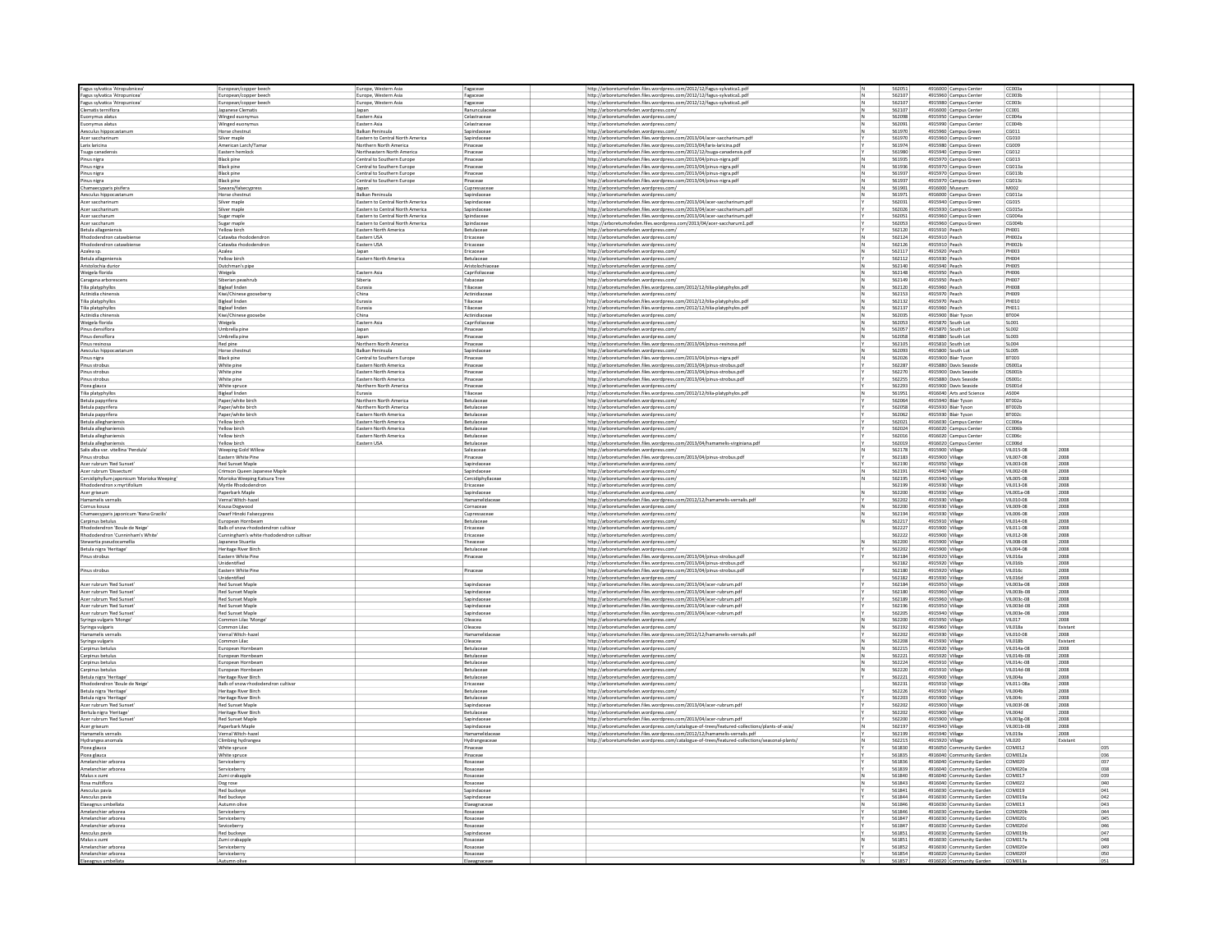| Fagus sylvatica 'Atropubnicea                      | European/copper beech                             | Europe, Western Asia                                                 | Fagaceae                        | http://arboretumofeden.files.wordpress.com/2012/12/fagus-sylvatica1.pdf                       |     | 562051           |                                    | 4916000 Campus Cente                         | CC003a                       |                  |     |
|----------------------------------------------------|---------------------------------------------------|----------------------------------------------------------------------|---------------------------------|-----------------------------------------------------------------------------------------------|-----|------------------|------------------------------------|----------------------------------------------|------------------------------|------------------|-----|
| Fagus sylvatica 'Atropunicea                       | European/copper beec                              | Europe, Western Asia                                                 | Fagaceae                        | http://arboretumofeden.files.wordpress.com/2012/12/fagus-sylvatica1.pdf                       |     | 562107           |                                    | 4915960 Campus Cente                         | CCOO3b                       |                  |     |
| agus sylvatica 'Atropunicea'                       | European/copper beech                             | Europe, Western Asia                                                 | Fagaceae                        | http://arboretumofeden.files.wordpress.com/2012/12/fagus-sylvatica1.pdf                       |     | 562107           |                                    | 4915980 Campus Center                        | CC003                        |                  |     |
| Iematis terniflora                                 | Japanese Clematis                                 |                                                                      | Ranunculaceae                   | http://arboretumofeden.wordpress.com/                                                         |     | 562107           |                                    | 4916000 Campus Center                        | CC001                        |                  |     |
| uonymus alatus                                     | Winged euonymus                                   | Eastern Asia                                                         | Celastraceae                    | http://arboretumofeden.wordpress.com/                                                         |     | 562098           |                                    | 4915950 Campus Center                        | CC004a                       |                  |     |
| onymus alatus                                      | Winged euonymu:                                   | Eastern Asia                                                         | Celastraceae                    | http://arboretumofeden.wordpress.com,                                                         |     | 562091           |                                    | 4915990 Campus Cente                         | CC004b                       |                  |     |
| Aesculus hippocastanur                             | Horse chestnut                                    | Balkan Peninsula                                                     | Sapindaceae                     | http://arboretumofeden.wordpress.com/                                                         |     | 561970           |                                    | 4915960 Campus Green                         | CG011                        |                  |     |
| Acer saccharinum                                   | Silver maple                                      | Eastern to Central North America                                     | Sapindaceae                     | http://arboretumofeden.files.wordpress.com/2013/04/acer-saccharinum.pdf                       |     | 561970           |                                    | 4915960 Campus Green                         | CG010                        |                  |     |
| arix laricina                                      | American Larch/Tama                               | Northern North America                                               | Pinaceae                        | http://arboretumofeden.files.wordpress.com/2013/04/larix-laricina.pdf                         |     | 561974           |                                    | 4915980 Campus Green                         | CG009                        |                  |     |
| suga canade                                        | Eastern heml                                      | Northeastern North America                                           | Pinaceae                        | http://arboretumofeden.files.wordpress.com/2012/12/tsuga-canadensis.pdf                       |     | 561980           |                                    | 4915940 Campus Green                         | CG012                        |                  |     |
| inus nigra                                         | Black pine                                        | Central to Southern Europe                                           | Pinaceae                        | http://arboretumofeden.files.wordpress.com/2013/04/pinus-nigra.pdf                            |     | 561935           |                                    | 4915970 Campus Green                         | CG013                        |                  |     |
| 'inus nigra                                        | <b>Black pine</b>                                 | Central to Southern Europe                                           | Pinaceae                        | http://arboretumofeden.files.wordpress.com/2013/04/pinus-nigra.pdl                            |     | 561936           |                                    | 4915970 Campus Green                         | CG013a                       |                  |     |
|                                                    | <b>Black pine</b>                                 | Central to Southern Europe                                           | Pinaceae                        | http://arboretumofeden.files.wordpress.com/2013/04/pinus-nigra.pdl                            |     | 561937           |                                    |                                              | CG013b                       |                  |     |
| inus nigra                                         | <b>Black</b> pine                                 | Central to Southern Europe                                           | Pinaceae                        | http://arboretumofeden.files.wordpress.com/2013/04/pinus-nigra.pdf                            | IN. | 561937           |                                    | 4915970 Campus Green<br>4915970 Campus Green | CG013c                       |                  |     |
| inus nigra<br>hamaecyparis pisifera                | Sawara/falsecypress                               | Japan                                                                | Cupressaceae                    | http://arboretumofeden.wordpress.com/                                                         |     | 561901           |                                    | 4916000 Museum                               | M002                         |                  |     |
|                                                    |                                                   |                                                                      |                                 |                                                                                               |     |                  |                                    |                                              |                              |                  |     |
| Aesculus hippocastanun                             | Horse chestnut                                    | <b>Balkan Peninsula</b>                                              | Sapindaceae                     | http://arboretumofeden.wordpress.com/                                                         |     | 561971<br>562031 |                                    | 4916000 Campus Green                         | CG011a                       |                  |     |
| cer sacchar<br>Acer saccharinun                    | Silver maple<br>Silver maple                      | Eastern to Central North America<br>Eastern to Central North America | Sapindacea<br>Sapindaceae       | http://arboretumofeden.files.wordpress.com/2013/04/acer-saccharinum.pdf                       |     | 562026           |                                    | 4915940 Campus Green                         | CG015<br>CG015a              |                  |     |
|                                                    |                                                   |                                                                      |                                 | http://arboretumofeden.files.wordpress.com/2013/04/acer-saccharinum.pdf                       |     | 562051           |                                    | 4915930 Campus Green                         |                              |                  |     |
| Acer saccharum                                     | Sugar maple                                       | Eastern to Central North America                                     | Spindaceae                      | http://arboretumofeden.files.wordpress.com/2013/04/acer-saccharinum.pdl                       |     |                  |                                    | 4915960 Campus Green                         | CG004a<br>CGOO4F             |                  |     |
| Acer saccharun                                     | Sugar maple                                       | Eastern to Central North America                                     | Spindaceae                      | https://arboretumofeden.files.wordpress.com/2013/04/acer-saccharum1.pd                        |     | 562053           |                                    | 4915960 Campus Green                         |                              |                  |     |
| Betula allageniensi                                | Yellow birch                                      | Eastern North America                                                | Betulaceae                      | http://arboretumofeden.wordpress.com/                                                         |     | 562120           | 4915910 Peach                      |                                              | PH001                        |                  |     |
| Rhododendron catawbiens                            | Catawba rhododendror                              | Eastern USA                                                          | Ericaceae                       | http://arboretumofeden.wordpress.com/                                                         |     | 562124           | 4915910 Peach                      |                                              | PH002a                       |                  |     |
| Rhododendron catawbiense                           | Catawba rhododendror                              | Eastern USA                                                          | Ericaceae                       | http://arboretumofeden.wordpress.com/                                                         |     | 562126           | 4915910 Peach                      |                                              | PH002b                       |                  |     |
| Azalea sp.                                         | Azalea                                            |                                                                      | Ericaceae                       | http://arboretumofeden.wordpress.com                                                          |     | 562117           | 4915920 Peach                      |                                              | <b>PH003</b>                 |                  |     |
| Betula allagenie                                   | Yellow birch                                      | Eastern North America                                                | Betulaceae                      | http://arboretumofeden.wordpress.com,                                                         |     | 562112           | 4915930 Peach                      |                                              | <b>PH004</b>                 |                  |     |
| istolochia durior                                  | Dutchman's pipe                                   |                                                                      | Aristolochiaceae                | http://arboretumofeden.wordpress.com/                                                         |     | 562140           | 4915940 Peach                      |                                              | PHOOS                        |                  |     |
| Weigela florida                                    | Weigela                                           | Eastern Asia                                                         | Caprifoliacea                   | http://arboretumofeden.wordpress.com                                                          |     | 562148           | 4915950 Peach                      |                                              | <b>PH006</b>                 |                  |     |
| aragana arboresc                                   | Siberian peashrub                                 | Siberia                                                              | Fabaceae                        | http://arboretumofeden.wordpress.com/                                                         |     | 562149           | 4915950 Peach                      |                                              | <b>PH007</b>                 |                  |     |
| Tilia platyphyllos                                 | <b>Bigleaf linden</b>                             | Eurasia                                                              | Tiliaceae                       | http://arboretumofeden.files.wordpress.com/2012/12/tilia-platyphylos.pdf                      |     | 562120           | 4915960 Peach                      |                                              | <b>PHOOS</b>                 |                  |     |
| kctinidia chinens                                  | Kiwi/Chinese gooseberry                           | China                                                                | Actinidiacea                    | http://arboretumofeden.wordpress.com/                                                         |     | 562153           | 4915970 Peach                      |                                              | <b>PH009</b>                 |                  |     |
| ilia platyphylic                                   | <b>Bigleaf linde</b>                              | Eurasia                                                              | Tiliaceae                       | http://arboretumofeden.files.wordpress.com/2012/12/tilia-platyphylos.pdf                      |     | 562132           | 4915970 Peach                      |                                              | <b>PH010</b>                 |                  |     |
| Tilia platyphyllo:                                 | Bigleaf linden                                    | Eurasia                                                              | Tiliaceae                       | http://arboretumofeden.files.wordpress.com/2012/12/tilia-platyphylos.pdf                      |     | 562137           | 4915960 Peach                      |                                              | PH011                        |                  |     |
| ctinidia chinens                                   | Kiwi/Chinese goosebe                              | China                                                                | Actinidiacea                    | http://arboretumofeden.wordpress.com/                                                         |     | 562035           |                                    | 4915900 Blair Tysor                          | <b>BT004</b>                 |                  |     |
| eigela florida                                     | Weigela                                           | Eastern Asia                                                         | Caprifoliace                    | http://arboretumofeden.wordpress.com                                                          |     | 562053           |                                    | 4915870 South Lot                            | SL001                        |                  |     |
| nus densiflora                                     | Umbrella pine                                     | Japan                                                                | Pinaceae                        | http://arboretumofeden.wordpress.com                                                          |     | 562057           |                                    | 4915870 South Lot                            | S1002                        |                  |     |
| inus densiflora                                    | Umbrella pine                                     | Japan                                                                | Pinaceae                        | http://arboretumofeden.wordpress.com/                                                         |     | 562058           |                                    | 4915880 South Lot                            | SL003                        |                  |     |
| inus resinosa                                      | Red pine                                          | Northern North America                                               | Pinaceae                        | http://arboretumofeden.files.wordpress.com/2013/04/pinus-resinosa.pdf                         |     | 562105           |                                    | 4915810 South Lot                            | SL004                        |                  |     |
| esculus hippocas                                   | lorse chestnu                                     | <b>Balkan Peninsuk</b>                                               | Sapindace                       | http://arboretumofeden.wordpress.com,                                                         |     | 562093           |                                    | 4915800 South Lot                            | \$1,005                      |                  |     |
| <sup>2</sup> inus nigra                            | Black pine                                        | Central to Southern Europe                                           | Pinaceae                        | http://arboretumofeden.files.wordpress.com/2013/04/pinus-nigra.pdf                            |     | 562026           |                                    | 4915900 Blair Tyson                          | BT003                        |                  |     |
| 'inus strobus                                      | White pine                                        | Eastern North America                                                | Pinaceae                        | http://arboretumofeden.files.wordpress.com/2013/04/pinus-strobus.pdf                          |     | 562287           |                                    | 4915880 Davis Seaside                        | <b>DS001a</b>                |                  |     |
| inus strobus                                       | White pine                                        | Eastern North America                                                | Pinaceae                        | http://arboretumofeden.files.wordpress.com/2013/04/pinus-strobus.pdf                          |     | 562270           |                                    | 4915900 Davis Seaside                        | DS001                        |                  |     |
| nus strobu                                         | White pine                                        | Eastern North America                                                | Pinaceae                        | http://arboretumofeden.files.wordpress.com/2013/04/pinus-strobus.pdf                          |     | 562255           |                                    | 4915880 Davis Seaside                        | DS001c                       |                  |     |
| <sup>D</sup> icea glauca                           | White spruce                                      | Northern North America                                               | Pinaceae                        | http://arboretumofeden.wordpress.com/                                                         |     | 562293           |                                    | 4915900 Davis Seaside                        | <b>DS001d</b>                |                  |     |
| Filia platyphylic                                  | <b>Bigleaf linden</b>                             | Eurasia                                                              | Tiliaceae                       | http://arboretumofeden.files.wordpress.com/2012/12/tilia-platyphylos.pdf                      |     | 561951           |                                    | 4916040 Arts and Science                     | AS004                        |                  |     |
| etula papyrifer                                    | aper/white bird                                   | Northern North America                                               | Betulacea                       | http://arboretumofeden.wordpress.com,                                                         |     | 562064           |                                    | 4915940 Blair Tyson                          | RT002a                       |                  |     |
| Betula papyrifera                                  | Paper/white birch                                 | Northern North America                                               | Betulaceae                      | http://arboretumofeden.wordpress.com/                                                         |     | 562058           |                                    | 4915930 Blair Tyson                          | BT002b                       |                  |     |
|                                                    |                                                   |                                                                      |                                 |                                                                                               |     |                  |                                    |                                              |                              |                  |     |
| Betula papyrifera                                  | Paper/white birch                                 | Eastern North America                                                | Betulaceae                      | http://arboretumofeden.wordpress.com/                                                         |     | 562062<br>562021 |                                    | 4915930 Blair Tyson                          | <b>BT002c</b><br>CC006a      |                  |     |
| letula alleghaniensi                               | Yellow birch                                      | Eastern North America                                                | Betulaceae<br><b>Betulaceae</b> | http://arboretumofeden.wordpress.com,                                                         |     | 562024           |                                    | 4916030 Campus Center                        | ccoosh                       |                  |     |
| letula alleghani                                   | Yellow birch                                      | Eastern North America                                                |                                 | http://arboretumofeden.wordpress.com                                                          |     |                  |                                    | 4916020 Campus Cente                         |                              |                  |     |
| setula alleghaniensis                              | Yellow birch                                      | Eastern North America                                                | Betulaceae                      | http://arboretumofeden.wordpress.com/                                                         |     | 562016           |                                    | 4916020 Campus Center                        | CC006                        |                  |     |
| Betula alleghaniensi                               | Yellow birch                                      | Eastern USA                                                          | Betulaceae                      | http://arboretumofeden.files.wordpress.com/2013/04/hamamelis-virginiana.pdf                   |     | 562019           |                                    | 4916020 Campus Center                        | CC006                        | 2008             |     |
| Salix alba var. vitellina 'Pendula                 | Weeping Gold Willow                               |                                                                      | Salicaceae                      | http://arboretumofeden.wordpress.com/                                                         |     | 562178           | 4915900 Village                    |                                              | <b>VIL015-08</b>             |                  |     |
| Pinus strobus                                      | Eastern White Pine                                |                                                                      | Pinaceae                        | http://arboretumofeden.files.wordpress.com/2013/04/pinus-strobus.pdf                          |     | 562183           | 4915900 Villag                     |                                              | VII 007-08                   | 2008             |     |
| Acer rubrum 'Red Sunset'                           | Red Sunset Maple                                  |                                                                      | Sapindaceae                     | http://arboretumofeden.wordpress.com/                                                         |     | 562190           | 4915950 Village                    |                                              | VIL003-08                    | 2008             |     |
| Acer rubrum 'Dissectum                             | Crimson Queen Japanese Maple                      |                                                                      | Sapindaceae                     |                                                                                               |     | 562191           | 4915940 Village                    |                                              | VIL002-08                    | 2008             |     |
|                                                    |                                                   |                                                                      |                                 | http://arboretumofeden.wordpress.com                                                          |     |                  |                                    |                                              |                              |                  |     |
| ercidiphyllum japonicum 'Morioka Weeping'          | Morioka Weeping Katsura Tree                      |                                                                      | Cercidiphyllace:                | http://arboretumofeden.wordpress.com                                                          |     | 562195           | 4915940 Villag                     |                                              | VII 005-08                   | 2008             |     |
| thododendron x myrtifolium                         | Myrtle Rhododendror                               |                                                                      | Ericaceae                       | http://arboretumofeden.wordpress.com/                                                         |     | 562199           | 4915930 Village                    |                                              | VIL013-08                    | 2008             |     |
| Acer griseum                                       | Paperbark Maple                                   |                                                                      | Sapindaceae                     | http://arboretumofeden.wordpress.com/                                                         |     | 562200           | 4915930 Village                    |                                              | VIL001a-08                   | 2008             |     |
| nelis vernal                                       | Vernal Witch-ha:                                  |                                                                      | Hamamelidace                    | http://arboretumofeden.files.wordpress.com/2012/12/hamamelis-vernalis.pdf                     |     | 562202           | 4915930 Villag                     |                                              | VIL010-08                    | 2008             |     |
| Cornus kousa                                       |                                                   |                                                                      | Cornaceae                       |                                                                                               |     | 562200           | 4915930 Village                    |                                              | VII 009-08                   | 2008             |     |
| Chamaecyparis japonicum 'Nana Gracilis'            | Kousa Dogwood<br><b>Dwarf Hinoki Falsecypress</b> |                                                                      | Cupressaceae                    | http://arboretumofeden.wordpress.com/<br>http://arboretumofeden.wordpress.com/                |     | 562194           | 4915930 Village                    |                                              | VIL006-08                    | 2008             |     |
| Carpinus betulus                                   | European Hornbeam                                 |                                                                      | Betulaceae                      | http://arboretumofeden.wordpress.com                                                          |     | 562217           | 4915910 Village                    |                                              | VIL014-08                    | 2008             |     |
| ododendron 'Boule de Neige                         | Balls of snow rhododendron cultival               |                                                                      | Ericaceae                       | http://arboretumofeden.wordpress.com                                                          |     | 562227           | 4915900 Village                    |                                              | VII011-08                    | 2008             |     |
| Rhododendron 'Cunninham's White                    | Cunningham's white rhododendron cultiva           |                                                                      | Ericaceae                       | http://arboretumofeden.wordpress.com,                                                         |     | 562222           | 4915900 Village                    |                                              | VIL012-08                    | 2008             |     |
|                                                    | Japanese Stuartia                                 |                                                                      | Theaceae                        | http://arboretumofeden.wordpress.com/                                                         |     | 562200           | 4915900 Village                    |                                              | VIL008-08                    | 2008             |     |
| Stewartia pseudocamellia                           |                                                   |                                                                      |                                 |                                                                                               |     |                  |                                    |                                              |                              |                  |     |
| Betula nigra 'Heritage'                            | <b>Heritage River Birch</b>                       |                                                                      | Betulaceae                      | http://arboretumofeden.wordpress.com/                                                         |     | 562202<br>562184 | 4915900 Village                    |                                              | VIL004-08<br>VII 016a        | 2008<br>2008     |     |
| Pinus strobus                                      | Eastern White Pine                                |                                                                      | Pinaceae                        | http://arboretumofeden.files.wordpress.com/2013/04/pinus-strobus.pdf                          |     |                  | 4915920 Villag                     |                                              |                              |                  |     |
|                                                    | Unidentified                                      |                                                                      |                                 | http://arboretumofeden.files.wordpress.com/2013/04/pinus-strobus.pdf                          |     | 562182           | 4915920 Village                    |                                              | <b>VIL016b</b>               | 2008             |     |
| Pinus strobus                                      | Eastern White Pine<br>Inidentified                |                                                                      | Pinaceae                        | http://arboretumofeden.files.wordpress.com/2013/04/pinus-strobus.pdf                          |     | 562180<br>562182 | 4915920 Village                    |                                              | <b>VIL016</b><br>VII 016d    | 2008<br>2008     |     |
|                                                    |                                                   |                                                                      |                                 | http://arboretumofeden.wordpress.com/                                                         |     |                  | 4915930 Villag                     |                                              |                              |                  |     |
| Acer rubrum 'Red Sunset                            | <b>Red Sunset Maple</b>                           |                                                                      | Sapindaceae                     | http://arboretumofeden.files.wordpress.com/2013/04/acer-rubrum.pdl                            |     | 562184           | 4915950 Village                    |                                              | VIL003a-08                   | 2008             |     |
| Acer rubrum 'Red Sunset                            | <b>Red Sunset Maple</b>                           |                                                                      | Sapindaceae                     | http://arboretumofeden.files.wordpress.com/2013/04/acer-rubrum.pdf                            |     | 562180           | 4915960 Village                    |                                              | VIL003b-08                   | 2008             |     |
| Acer rubrum 'Red Sunse                             | <b>Red Sunset Maple</b><br><b>Red Sunset Mank</b> |                                                                      | Sapindaceae                     | http://arboretumofeden.files.wordpress.com/2013/04/acer-rubrum.pdl                            |     | 562189<br>562196 | 4915960 Village                    |                                              | VIL003c-08<br>VII 003d-08    | 2008<br>2008     |     |
| Acer rubrum 'Red Sunset<br>Acer rubrum 'Red Sunset | <b>Red Sunset Maple</b>                           |                                                                      | Sapindaceae<br>Sapindaceae      | http://arboretumofeden.files.wordpress.com/2013/04/acer-rubrum.pdf                            |     | 562205           | 4915950 Village<br>4915940 Village |                                              | VIL003e-08                   | 2008             |     |
|                                                    |                                                   |                                                                      |                                 | http://arboretumofeden.files.wordpress.com/2013/04/acer-rubrum.pdf                            |     |                  |                                    |                                              |                              |                  |     |
| Syringa vulgaris 'Monge                            | Common Lilac 'Monge<br>Common Lilar               |                                                                      | Oleacea                         | http://arboretumofeden.wordpress.com/                                                         |     | 562200<br>562192 | 4915950 Village                    |                                              | <b>VIL017</b><br>VII 018a    | 2008<br>Existant |     |
| Syringa vulgaris                                   |                                                   |                                                                      | Oleacea                         | http://arboretumofeden.wordpress.com/                                                         |     | 562202           | 4915960 Village                    |                                              | VIL010-08                    |                  |     |
| Hamamelis vernali                                  | Vernal Witch-haze                                 |                                                                      | Hamamelidacea                   | http://arboretumofeden.files.wordpress.com/2012/12/hamamelis-vernalis.pdf                     |     |                  | 4915930 Village                    |                                              |                              | 2008             |     |
| Syringa vulgaris                                   | Common Lilac                                      |                                                                      | Oleacea<br>Betulaceae           | http://arboretumofeden.wordpress.com/<br>http://arboretumofeden.wordpress.com                 |     | 562208<br>562215 | 4915930 Village<br>4915920 Village |                                              | <b>VIL018b</b><br>VIL014a-08 | Existant         |     |
| Carpinus betulu:                                   | European Hornber                                  |                                                                      | <b>Betulaceae</b>               |                                                                                               |     | 562221           |                                    |                                              | VII 014h-08                  | 2008<br>2008     |     |
| Carpinus betulus<br>Carpinus betulus               | European Hornbean<br>European Hornbeam            |                                                                      | Betulaceae                      | http://arboretumofeden.wordpress.com<br>http://arboretumofeden.wordpress.com/                 |     | 562224           | 4915920 Villag<br>4915910 Village  |                                              | VIL014c-08                   | 2008             |     |
| Carpinus betulus                                   |                                                   |                                                                      | Betulaceae                      | http://arboretumofeden.wordpress.com                                                          |     | 562220           | 4915910 Village                    |                                              | VIL014d-08                   | 2008             |     |
|                                                    | European Hornbean                                 |                                                                      | <b>Retulaceae</b>               |                                                                                               |     | 562221           |                                    |                                              | VILODAN                      | 2008             |     |
| letula nigra 'Heritage                             | Heritage River Birch                              |                                                                      |                                 | http://arboretumofeden.wordpress.com                                                          |     |                  | 4915900 Villag                     |                                              |                              |                  |     |
| thododendron 'Boule de Neige'                      | Balls of snow rhododendron cultivar               |                                                                      | Ericaceae                       | http://arboretumofeden.wordpress.com/                                                         |     | 562231           | 4915910 Village                    |                                              | VIL011-08a                   | 2008             |     |
| Betula nigra 'Heritage                             | Heritage River Birch                              |                                                                      | Betulaceae                      | http://arboretumofeden.wordpress.com,                                                         |     | 562226           | 4915910 Village                    |                                              | <b>VILOD4b</b>               | 2008             |     |
| etula nigra 'Heritage                              | Heritage River Birc                               |                                                                      | Betulaceae                      | http://arboretumofeden.wordpress.com,                                                         |     | 562203           | 4915900 Village                    |                                              | VILOD4d                      | 2008             |     |
| Acer rubrum 'Red Sunse                             | <b>Red Sunset Maple</b>                           |                                                                      | Sapindaceae                     | http://arboretumofeden.files.wordpress.com/2013/04/acer-rubrum.pdf                            |     | 562202           | 4915900 Villag                     |                                              | VIL003f-08                   | 2008             |     |
| Bertula nigra 'Heritage'                           | Heritage River Birc                               |                                                                      | Betulaceae                      | http://arboretumofeden.wordpress.com/                                                         |     | 562202           | 4915900 Village                    |                                              | VIL004d                      | 2008             |     |
| Acer rubrum 'Red Sunse                             | <b>Red Sunset Maple</b>                           |                                                                      | Sapindaceae                     | http://arboretumofeden.files.wordpress.com/2013/04/acer-rubrum.pdf                            |     | 562200           | 4915900 Village                    |                                              | VIL003g-08                   | 2008             |     |
| Acer griseum                                       | Paperbark Maple                                   |                                                                      | Sapindaceae                     | http://arboretumofeden.wordpress.com/catalogue-of-trees/featured-collections/plants-of-asia/  |     | 562197           | 4915940 Village                    |                                              | VIL001b-08                   | 2008             |     |
| tamamelis vernalis                                 | Vernal Witch-haze                                 |                                                                      | Hamamelidacea                   | http://arboretumofeden.files.wordpress.com/2012/12/hamamelis-vernalis.pdf                     |     | 562199           | 4915940 Village                    |                                              | VIL019a                      | 2008             |     |
| Hydrangea anomala                                  | Climbing hydrangea                                |                                                                      | Hydrangeaceae                   | http://arboretumofeden.wordpress.com/catalogue-of-trees/featured-collections/seasonal-plants/ |     | 562215           | 4915920 Village                    |                                              | <b>VIL020</b>                | Existant         |     |
| icea glauca                                        | White spruce                                      |                                                                      | Pinaceae                        |                                                                                               |     | 561830           |                                    | 4916050 Community Garden                     | COM012                       |                  | 035 |
| Picea glauca                                       | White spruce                                      |                                                                      | Pinaceae                        |                                                                                               |     | 561835           |                                    | 4916040 Community Garden                     | COM012a                      |                  | 036 |
| melanchier arborea                                 | Serviceberry                                      |                                                                      | Rosaceae                        |                                                                                               |     | 561836           |                                    | 4916040 Community Garden                     | COM020                       |                  | 037 |
| Amelanchier arborea                                | Serviceberry                                      |                                                                      | Rosaceae                        |                                                                                               |     | 561839           |                                    | 4916040 Community Garden                     | COM020a                      |                  | 038 |
| Aalus x zum                                        | Zumi crabappl                                     |                                                                      | Rosaceae                        |                                                                                               |     | 561840           |                                    | 4916040 Community Garden                     | COM017                       |                  | 039 |
| Rosa multiflora                                    | Dog rose                                          |                                                                      | Rosaceae                        |                                                                                               |     | 561843           |                                    | 4916040 Community Garden                     | <b>COM022</b>                |                  | 040 |
| Aesculus pavia                                     | <b>Red buckeye</b>                                |                                                                      | Sapindaceae                     |                                                                                               |     | 561841           |                                    | 4916030 Community Garden                     | COM019                       |                  | 041 |
| sculus pavia                                       | Red buckeye                                       |                                                                      | Sapindaceae                     |                                                                                               |     | 561844           |                                    | 4916030 Community Garden                     | COM019                       |                  | 042 |
| Elaeagnus umbellata                                | Autumn oliv                                       |                                                                      | Elaeagnacea                     |                                                                                               |     | 561846           |                                    | 4916030 Community Garden                     | COM013                       |                  | 043 |
| melanchier arborea                                 | Serviceberry                                      |                                                                      | Rosaceae                        |                                                                                               |     | 561846           |                                    | 4916030 Community Garden                     | COM020b                      |                  | 044 |
| Amelanchier arborea                                | Serviceberry                                      |                                                                      | Rosaceae                        |                                                                                               |     | 561847           |                                    | 4916030 Community Garden                     | <b>COM020</b>                |                  | 045 |
| melanchier arbore                                  | ieviceberry                                       |                                                                      | Rosaceae                        |                                                                                               |     | 561847           |                                    | 4916030 Community Garden                     | COMOZON                      |                  | 046 |
| Aesculus pavia                                     | <b>Red buckeye</b>                                |                                                                      | Sapindacea                      |                                                                                               |     | 561851           |                                    | 4916030 Community Garden                     | COM019b                      |                  | 047 |
| Malus x zumi                                       | Zumi crabappi                                     |                                                                      | Rosaceae                        |                                                                                               |     | 561851           |                                    | 4916030 Community Garden                     | COM017a                      |                  | 048 |
| nelanchier arbore                                  | Serviceberry                                      |                                                                      | Rosaceae                        |                                                                                               |     | 561852           |                                    | 4916030 Community Garden                     | COMO20+                      |                  | 049 |
| melanchier arborea                                 | Serviceberr                                       |                                                                      | Rosaceae                        |                                                                                               |     | 561854<br>561857 | 4916020 Comn                       | 4916020 Community Garden                     | COM020f                      |                  | 050 |